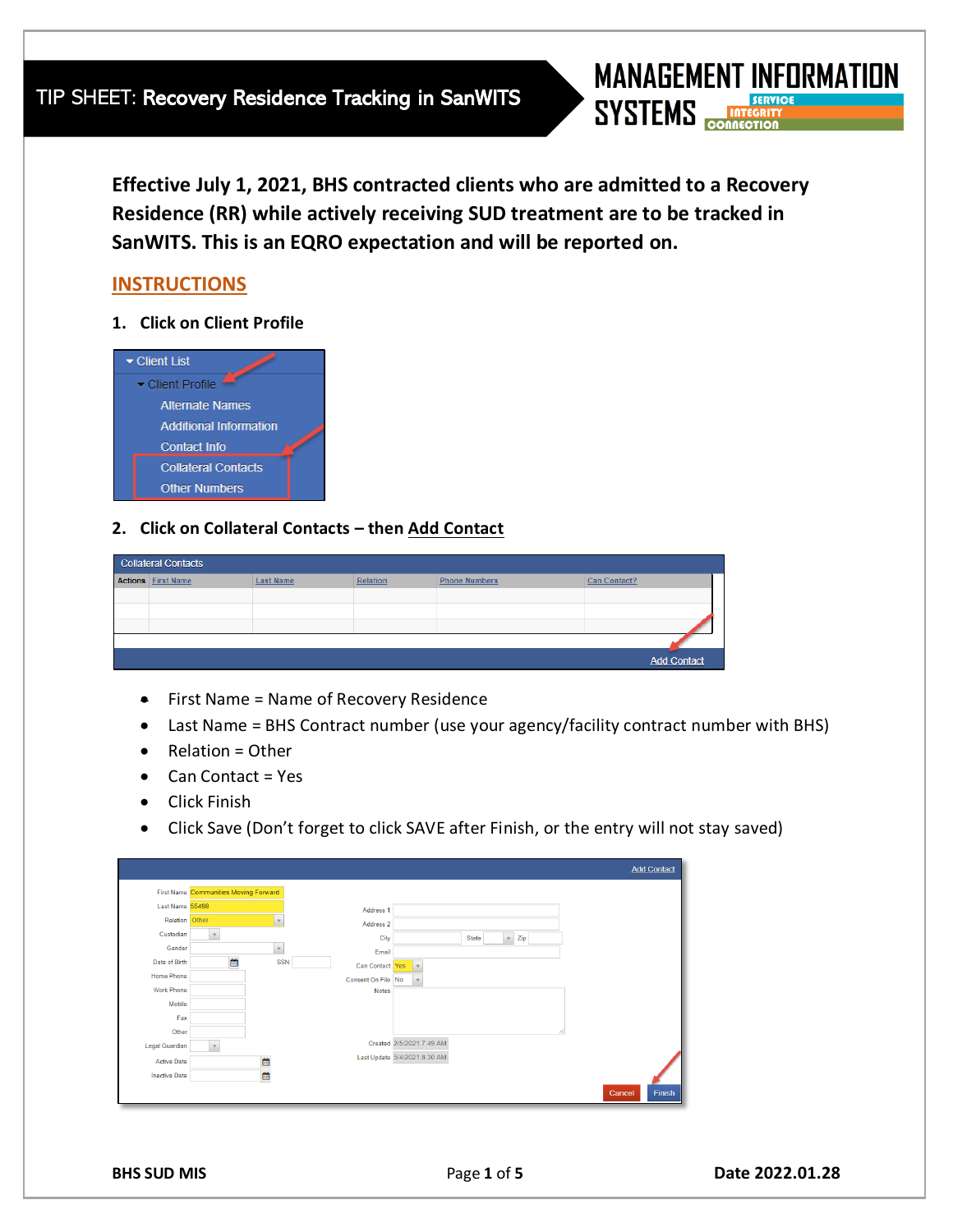**Effective July 1, 2021, BHS contracted clients who are admitted to a Recovery Residence (RR) while actively receiving SUD treatment are to be tracked in SanWITS. This is an EQRO expectation and will be reported on.**

# **INSTRUCTIONS**

**1. Click on Client Profile**



# **2. Click on Collateral Contacts – then Add Contact**

| <b>Collateral Contacts</b> |                           |                  |          |                      |                     |  |  |  |  |  |
|----------------------------|---------------------------|------------------|----------|----------------------|---------------------|--|--|--|--|--|
|                            | <b>Actions First Name</b> | <b>Last Name</b> | Relation | <b>Phone Numbers</b> | <b>Can Contact?</b> |  |  |  |  |  |
|                            |                           |                  |          |                      |                     |  |  |  |  |  |
|                            |                           |                  |          |                      |                     |  |  |  |  |  |
|                            |                           |                  |          |                      |                     |  |  |  |  |  |
|                            |                           |                  |          |                      |                     |  |  |  |  |  |
|                            |                           |                  |          |                      | <b>Add Contact</b>  |  |  |  |  |  |

- First Name = Name of Recovery Residence
- Last Name = BHS Contract number (use your agency/facility contract number with BHS)
- Relation = Other
- Can Contact = Yes
- Click Finish
- Click Save (Don't forget to click SAVE after Finish, or the entry will not stay saved)

|                       |                                       |               |                    |                              | <b>Add Contact</b> |
|-----------------------|---------------------------------------|---------------|--------------------|------------------------------|--------------------|
|                       | First Name Communities Moving Forward |               |                    |                              |                    |
| Last Name 55498       |                                       |               | Address 1          |                              |                    |
| Relation Other        |                                       | $\mathbf v$   | Address 2          |                              |                    |
| Custodian             | $\mathbf v$                           |               | City               | Zip<br>State<br>$\mathbf v$  |                    |
| Gender                |                                       | $\mathbb {V}$ | Email              |                              |                    |
| Date of Birth         | 台                                     | <b>SSN</b>    | Can Contact Yes    | $\mathbf{v}$                 |                    |
| <b>Home Phone</b>     |                                       |               | Consent On File No | $\mathbf v$                  |                    |
| <b>Work Phone</b>     |                                       |               | <b>Notes</b>       |                              |                    |
| Mobile                |                                       |               |                    |                              |                    |
| Fax                   |                                       |               |                    |                              |                    |
| Other                 |                                       |               |                    |                              |                    |
| <b>Legal Guardian</b> | $\mathbf v$                           |               |                    | Created 2/5/2021 7:49 AM     |                    |
| <b>Active Date</b>    |                                       | ö             |                    | Last Update 5/4/2021 8:30 AM |                    |
| <b>Inactive Date</b>  |                                       | ö             |                    |                              |                    |
|                       |                                       |               |                    |                              | Finish<br>Cancel   |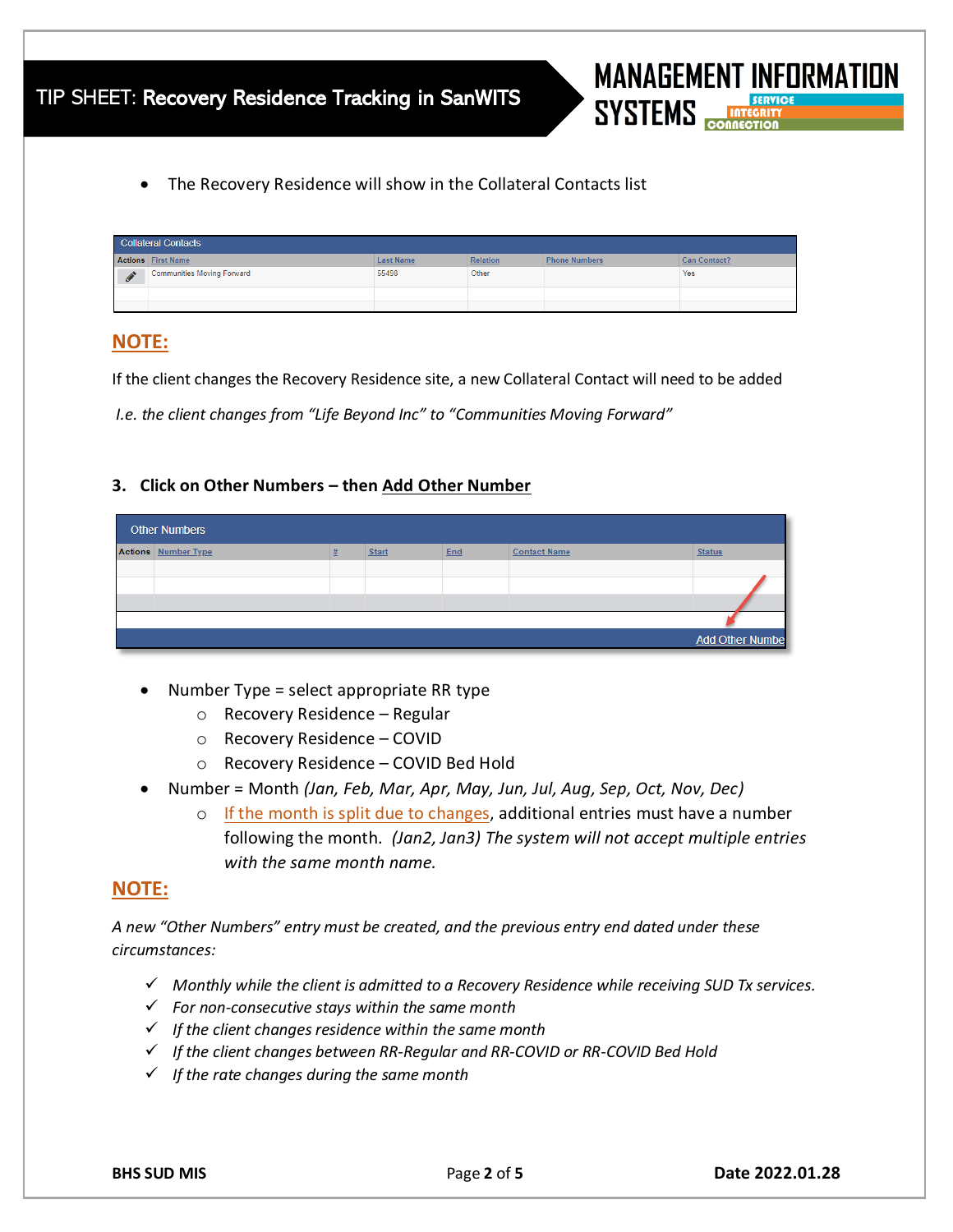• The Recovery Residence will show in the Collateral Contacts list

| <b>Collateral Contacts</b> |                                   |                  |                 |                      |                     |  |  |  |  |  |  |
|----------------------------|-----------------------------------|------------------|-----------------|----------------------|---------------------|--|--|--|--|--|--|
|                            | <b>Actions First Name</b>         | <b>Last Name</b> | <b>Relation</b> | <b>Phone Numbers</b> | <b>Can Contact?</b> |  |  |  |  |  |  |
| <b>C</b>                   | <b>Communities Moving Forward</b> | 55498            | Other           |                      | Yes                 |  |  |  |  |  |  |
|                            |                                   |                  |                 |                      |                     |  |  |  |  |  |  |
|                            |                                   |                  |                 |                      |                     |  |  |  |  |  |  |

# **NOTE:**

If the client changes the Recovery Residence site, a new Collateral Contact will need to be added

*I.e. the client changes from "Life Beyond Inc" to "Communities Moving Forward"*

## **3. Click on Other Numbers – then Add Other Number**

| Other Numbers              |   |              |     |                     |                         |  |  |  |  |
|----------------------------|---|--------------|-----|---------------------|-------------------------|--|--|--|--|
| <b>Actions</b> Number Type | 坓 | <b>Start</b> | End | <b>Contact Name</b> | <b>Status</b>           |  |  |  |  |
|                            |   |              |     |                     |                         |  |  |  |  |
|                            |   |              |     |                     |                         |  |  |  |  |
|                            |   |              |     |                     |                         |  |  |  |  |
|                            |   |              |     |                     |                         |  |  |  |  |
|                            |   |              |     |                     | <b>Add Other Number</b> |  |  |  |  |

- Number Type = select appropriate RR type
	- o Recovery Residence Regular
	- o Recovery Residence COVID
	- o Recovery Residence COVID Bed Hold
- Number = Month *(Jan, Feb, Mar, Apr, May, Jun, Jul, Aug, Sep, Oct, Nov, Dec)*
	- $\circ$  If the month is split due to changes, additional entries must have a number following the month. *(Jan2, Jan3) The system will not accept multiple entries with the same month name.*

# **NOTE:**

*A new "Other Numbers" entry must be created, and the previous entry end dated under these circumstances:*

- ✓ *Monthly while the client is admitted to a Recovery Residence while receiving SUD Tx services.*
- ✓ *For non-consecutive stays within the same month*
- ✓ *If the client changes residence within the same month*
- ✓ *If the client changes between RR-Regular and RR-COVID or RR-COVID Bed Hold*
- ✓ *If the rate changes during the same month*

**MANAGEMENT INFORMATION** 

**SYSTEMS**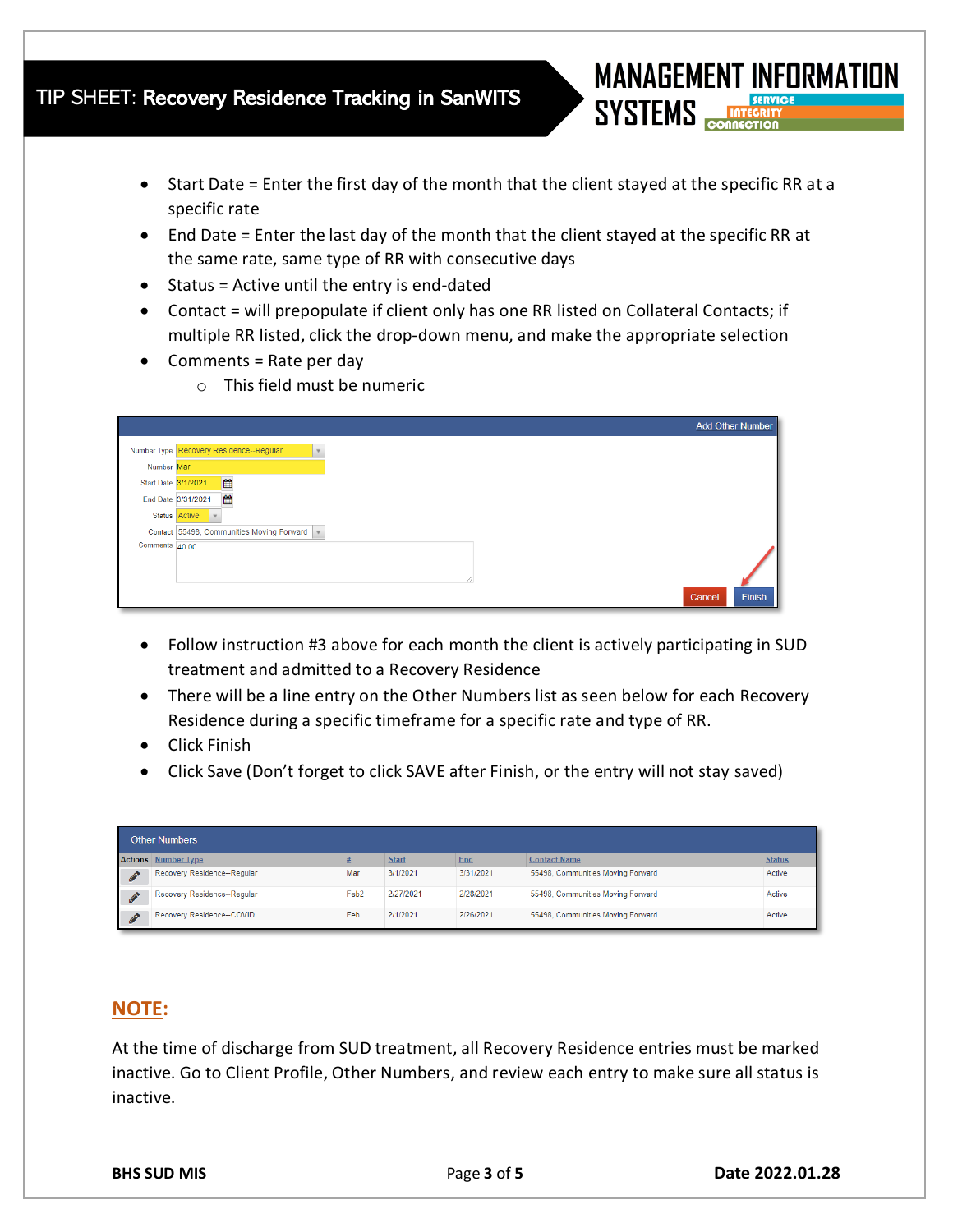# TIP SHEET: Recovery Residence Tracking in SanWITS

- Start Date = Enter the first day of the month that the client stayed at the specific RR at a specific rate
- End Date = Enter the last day of the month that the client stayed at the specific RR at the same rate, same type of RR with consecutive days
- Status = Active until the entry is end-dated
- Contact = will prepopulate if client only has one RR listed on Collateral Contacts; if multiple RR listed, click the drop-down menu, and make the appropriate selection
- Comments = Rate per day
	- o This field must be numeric

|                     | <b>Add Other Number</b>                                             |
|---------------------|---------------------------------------------------------------------|
|                     | Number Type Recovery Residence--Regular<br>$\overline{\phantom{a}}$ |
| Number Mar          |                                                                     |
| Start Date 3/1/2021 | ■                                                                   |
|                     | $\mathop{f\!H}\nolimits$<br>End Date 3/31/2021                      |
|                     | Status Active<br>$\mathbf{v}$                                       |
|                     | Contact 55498, Communities Moving Forward                           |
| Comments 40.00      |                                                                     |
|                     |                                                                     |
|                     |                                                                     |
|                     | Finish<br>Cancel                                                    |

- Follow instruction #3 above for each month the client is actively participating in SUD treatment and admitted to a Recovery Residence
- There will be a line entry on the Other Numbers list as seen below for each Recovery Residence during a specific timeframe for a specific rate and type of RR.
- Click Finish
- Click Save (Don't forget to click SAVE after Finish, or the entry will not stay saved)

| <b>Other Numbers</b> |                             |                  |              |           |                                   |               |  |  |  |  |
|----------------------|-----------------------------|------------------|--------------|-----------|-----------------------------------|---------------|--|--|--|--|
|                      | <b>Actions</b> Number Type  |                  | <b>Start</b> | End       | <b>Contact Name</b>               | <b>Status</b> |  |  |  |  |
|                      | Recovery Residence--Regular | Mar              | 3/1/2021     | 3/31/2021 | 55498. Communities Moving Forward | Active        |  |  |  |  |
| ⚠                    | Recovery Residence--Regular | Feb <sub>2</sub> | 2/27/2021    | 2/28/2021 | 55498, Communities Moving Forward | Active        |  |  |  |  |
| Ò                    | Recovery Residence--COVID   | Feb              | 2/1/2021     | 2/26/2021 | 55498, Communities Moving Forward | Active        |  |  |  |  |

# **NOTE:**

At the time of discharge from SUD treatment, all Recovery Residence entries must be marked inactive. Go to Client Profile, Other Numbers, and review each entry to make sure all status is inactive.

**MANAGEMENT INFORMATION** 

**SYSTEMS**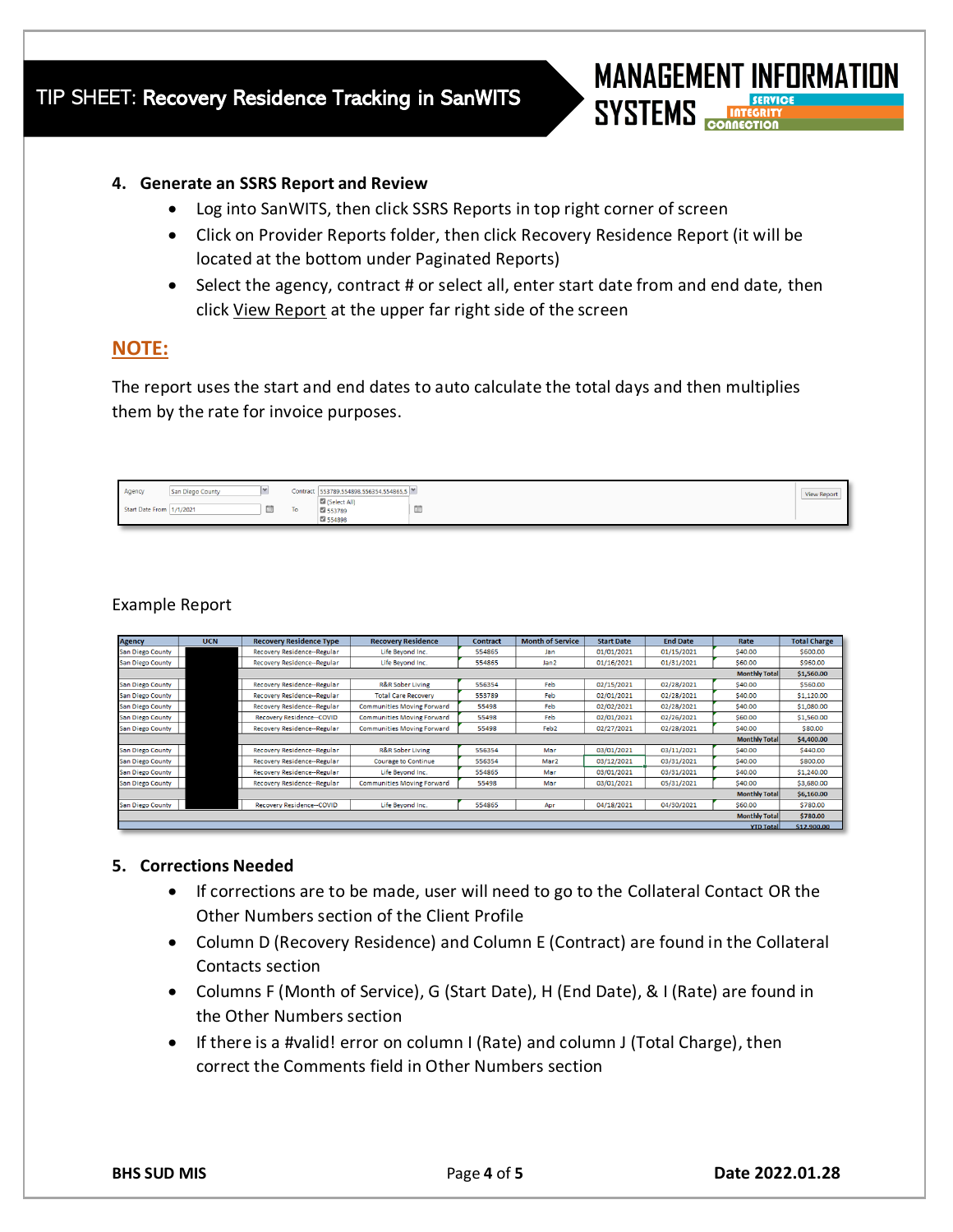

#### **4. Generate an SSRS Report and Review**

- Log into SanWITS, then click SSRS Reports in top right corner of screen
- Click on Provider Reports folder, then click Recovery Residence Report (it will be located at the bottom under Paginated Reports)
- Select the agency, contract # or select all, enter start date from and end date, then click View Report at the upper far right side of the screen

## **NOTE:**

The report uses the start and end dates to auto calculate the total days and then multiplies them by the rate for invoice purposes.

| Agency          | <b>San Diego County</b> |   | Contract 553789,554898,556354,554865,5 |                        | <b>View Report</b> |
|-----------------|-------------------------|---|----------------------------------------|------------------------|--------------------|
| Start Date From | 1/1/2021                | - | Select All)<br>■ 553789<br>■ 554898    | phone of<br><b>MAG</b> |                    |

## Example Report

| <b>Agency</b>           | <b>UCN</b>                       | <b>Recovery Residence Type</b>                         | <b>Recovery Residence</b>         | <b>Contract</b> | <b>Month of Service</b> | <b>Start Date</b> | <b>End Date</b> | Rate                 | <b>Total Charge</b> |  |
|-------------------------|----------------------------------|--------------------------------------------------------|-----------------------------------|-----------------|-------------------------|-------------------|-----------------|----------------------|---------------------|--|
| <b>San Diego County</b> |                                  | <b>Recovery Residence--Regular</b><br>Life Bevond Inc. |                                   | 554865          | Jan                     | 01/01/2021        | 01/15/2021      | \$40,00              | \$600.00            |  |
| <b>San Diego County</b> | Recovery Residence--Regular      |                                                        | Life Bevond Inc.                  | 554865          | Jan2                    | 01/16/2021        | 01/31/2021      | \$60,00              | \$960,00            |  |
|                         |                                  |                                                        |                                   |                 | <b>Monthly Total</b>    |                   |                 |                      |                     |  |
| <b>San Diego County</b> |                                  | Recovery Residence--Regular                            | R&R Sober Living                  | 556354          | Feb                     | 02/15/2021        | 02/28/2021      | \$40.00              | \$560.00            |  |
| <b>San Diego County</b> |                                  | Recovery Residence--Regular                            | <b>Total Care Recovery</b>        | 553789          | Feb                     | 02/01/2021        | 02/28/2021      | \$40.00              | \$1,120.00          |  |
| <b>San Diego County</b> |                                  | <b>Recovery Residence--Regular</b>                     | <b>Communities Moving Forward</b> | 55498           | Feb                     | 02/02/2021        | 02/28/2021      | \$40.00              | \$1,080.00          |  |
| <b>San Diego County</b> | <b>Recovery Residence--COVID</b> |                                                        | <b>Communities Moving Forward</b> | 55498           | Feb                     | 02/01/2021        | 02/26/2021      | \$60.00              | \$1,560.00          |  |
| <b>San Diego County</b> | Recovery Residence--Regular      |                                                        | <b>Communities Moving Forward</b> | 55498           | Feb <sub>2</sub>        | 02/27/2021        | 02/28/2021      | \$40.00              | \$80.00             |  |
|                         |                                  |                                                        |                                   |                 |                         |                   |                 | <b>Monthly Total</b> | \$4,400.00          |  |
| <b>San Diego County</b> |                                  | Recovery Residence--Regular                            | R&R Sober Living                  | 556354          | Mar                     | 03/01/2021        | 03/11/2021      | \$40,00              | \$440.00            |  |
| <b>San Diego County</b> |                                  | Recovery Residence--Regular                            | <b>Courage to Continue</b>        | 556354          | Mar2                    | 03/12/2021        | 03/31/2021      | \$40.00              | \$800.00            |  |
| San Diego County        |                                  | Recovery Residence--Regular                            | Life Beyond Inc.                  | 554865          | Mar                     | 03/01/2021        | 03/31/2021      | \$40.00              | \$1,240.00          |  |
| <b>San Diego County</b> |                                  | Recovery Residence--Regular                            | <b>Communities Moving Forward</b> | 55498           | Mar                     | 03/01/2021        | 05/31/2021      | \$40.00              | \$3,680.00          |  |
|                         |                                  | <b>Monthly Total</b>                                   |                                   |                 |                         |                   |                 |                      |                     |  |
| <b>San Diego County</b> |                                  | <b>Recovery Residence--COVID</b>                       | Life Bevond Inc.                  | 554865          | Apr                     | 04/18/2021        | 04/30/2021      | \$60,00              | \$780.00            |  |
|                         |                                  |                                                        |                                   |                 |                         |                   |                 | <b>Monthly Total</b> | \$780.00            |  |
|                         |                                  |                                                        |                                   |                 |                         |                   |                 |                      |                     |  |

### **5. Corrections Needed**

- If corrections are to be made, user will need to go to the Collateral Contact OR the Other Numbers section of the Client Profile
- Column D (Recovery Residence) and Column E (Contract) are found in the Collateral Contacts section
- Columns F (Month of Service), G (Start Date), H (End Date), & I (Rate) are found in the Other Numbers section
- If there is a #valid! error on column I (Rate) and column J (Total Charge), then correct the Comments field in Other Numbers section